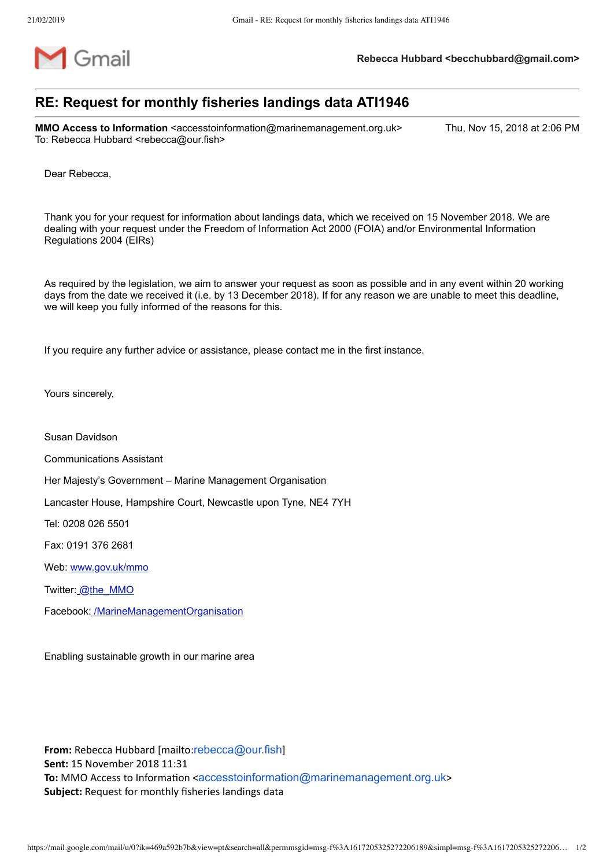

## **RE: Request for monthly fisheries landings data ATI1946**

**MMO Access to Information** <accesstoinformation@marinemanagement.org.uk> Thu, Nov 15, 2018 at 2:06 PM To: Rebecca Hubbard <rebecca@our.fish>

Dear Rebecca,

Thank you for your request for information about landings data, which we received on 15 November 2018. We are dealing with your request under the Freedom of Information Act 2000 (FOIA) and/or Environmental Information Regulations 2004 (EIRs)

As required by the legislation, we aim to answer your request as soon as possible and in any event within 20 working days from the date we received it (i.e. by 13 December 2018). If for any reason we are unable to meet this deadline, we will keep you fully informed of the reasons for this.

If you require any further advice or assistance, please contact me in the first instance.

Yours sincerely,

Susan Davidson

Communications Assistant

Her Majesty's Government – Marine Management Organisation

Lancaster House, Hampshire Court, Newcastle upon Tyne, NE4 7YH

Tel: 0208 026 5501

Fax: 0191 376 2681

Web: [www.gov.uk/mmo](http://www.gov.uk/mmo)

Twitter: [@the\\_MMO](https://twitter.com/The_MMO)

Facebook: /MarineManagementOrganisation

Enabling sustainable growth in our marine area

**From:** Rebecca Hubbard [mailto:[rebecca@our.fish](mailto:rebecca@our.fish)] **Sent:** 15 November 2018 11:31 **To:** MMO Access to Information <[accesstoinformation@marinemanagement.org.uk](mailto:accesstoinformation@marinemanagement.org.uk)> **Subject:** Request for monthly fisheries landings data